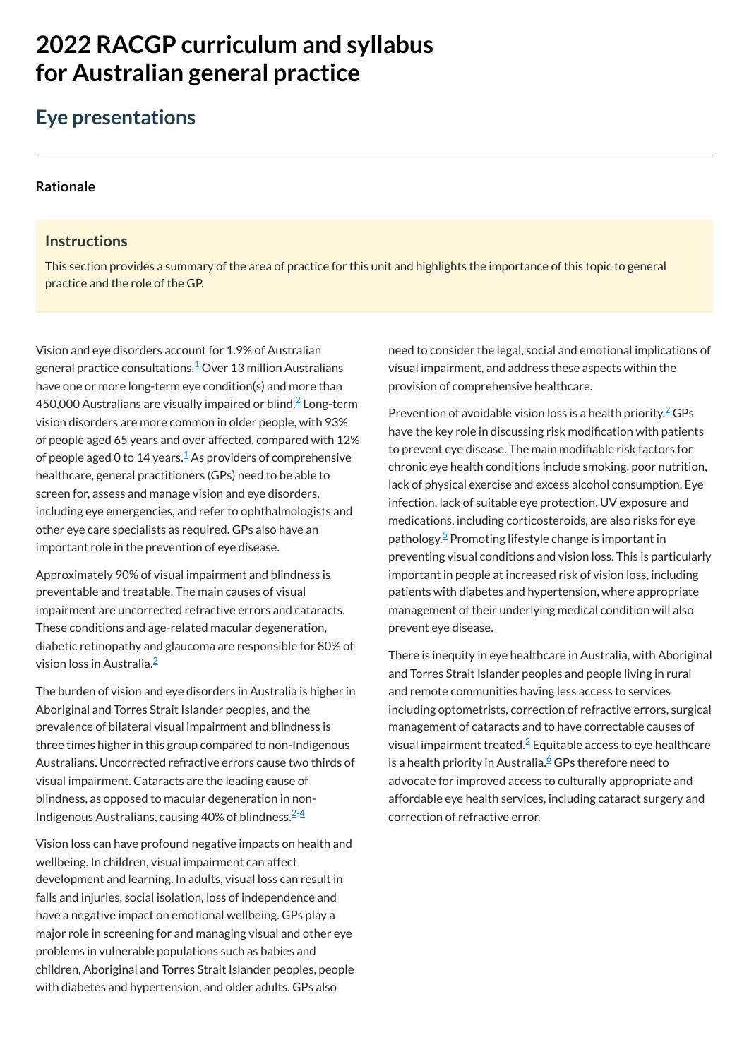# **2022 RACGP curriculum and syllabus for Australian [general practice](https://www.racgp.org.au/Curriculum-and-Syllabus/home)**

# **Eye presentations**

#### **[Rationale](javascript:void(0))**

#### **Instructions**

This section provides a summary of the area of practice for this unit and highlights the importance of this topic to general practice and the role of the GP.

Vision and eye disorders account for 1.9% of Australian general practice consultations. $^{\underline{1}}$  $^{\underline{1}}$  $^{\underline{1}}$  Over 13 million Australians have one or more long-term eye condition(s) and more than 450,000 Australians are visually impaired or blind. $\widehat{=}$  Long-term vision disorders are more common in older people, with 93% of people aged 65 years and over affected, compared with 12% of people aged 0 to [1](#page-1-0)4 years. $\frac{1}{2}$  As providers of comprehensive healthcare, general practitioners (GPs) need to be able to screen for, assess and manage vision and eye disorders, including eye emergencies, and refer to ophthalmologists and other eye care specialists as required. GPs also have an important role in the prevention of eye disease.

The burden of vision and eye disorders in Australia is higher in Aboriginal and Torres Strait Islander peoples, and the prevalence of bilateral visual impairment and blindness is three times higher in this group compared to non-Indigenous Australians. Uncorrected refractive errors cause two thirds of visual impairment. Cataracts are the leading cause of blindness, as opposed to macular degeneration in non-Indigenous Australians, causing 40% of blindness. $2\frac{4}{3}$  $2\frac{4}{3}$ 

Prevention of avoidable vision loss is a health priority. $\frac{2}{3}$  $\frac{2}{3}$  $\frac{2}{3}$ GPs have the key role in discussing risk modification with patients to prevent eye disease. The main modifiable risk factors for chronic eye health conditions include smoking, poor nutrition, lack of physical exercise and excess alcohol consumption. Eye infection, lack of suitable eye protection, UV exposure and medications, including corticosteroids, are also risks for eye pathology.<sup>[5](#page-1-3)</sup> Promoting lifestyle change is important in preventing visual conditions and vision loss. This is particularly important in people at increased risk of vision loss, including patients with diabetes and hypertension, where appropriate management of their underlying medical condition will also prevent eye disease.

Vision loss can have profound negative impacts on health and wellbeing. In children, visual impairment can affect development and learning. In adults, visual loss can result in falls and injuries, social isolation, loss of independence and have a negative impact on emotional wellbeing. GPs play a major role in screening for and managing visual and other eye problems in vulnerable populations such as babies and children, Aboriginal and Torres Strait Islander peoples, people with diabetes and hypertension, and older adults. GPs also

need to consider the legal, social and emotional implications of visual impairment, and address these aspects within the provision of comprehensive healthcare.

Approximately 90% of visual impairment and blindness is preventable and treatable. The main causes of visual impairment are uncorrected refractive errors and cataracts. These conditions and age-related macular degeneration, diabetic retinopathy and glaucoma are responsible for 80% of vision loss in Australia. [2](#page-1-1)

There is inequity in eye healthcare in Australia, with Aboriginal and Torres Strait Islander peoples and people living in rural and remote communities having less access to services including optometrists, correction of refractive errors, surgical management of cataracts and to have correctable causes of visual impairment treated. $\frac{2}{\pi}$  $\frac{2}{\pi}$  $\frac{2}{\pi}$ Equitable access to eye healthcare is a health priority in Australia.<sup>[6](#page-1-4)</sup> GPs therefore need to advocate for improved access to culturally appropriate and affordable eye health services, including cataract surgery and correction of refractive error.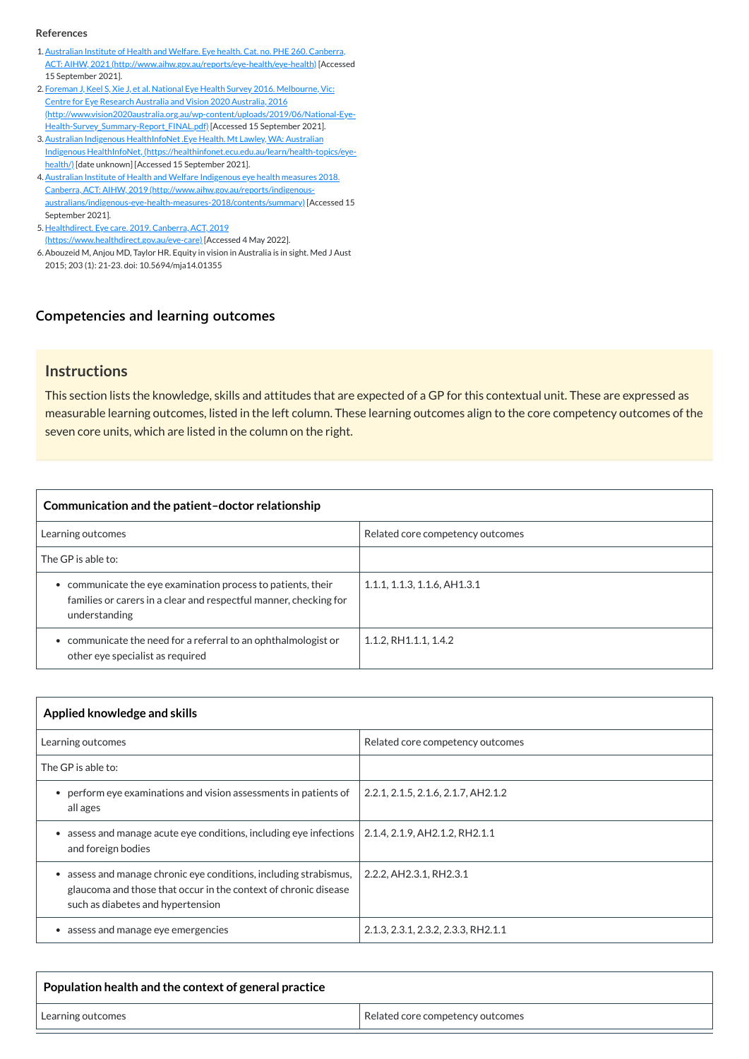# **[Competencies and learning outcomes](javascript:void(0))**

# **Instructions**

This section lists the knowledge, skills and attitudes that are expected of a GP for this contextual unit. These are expressed as measurable learning outcomes, listed in the left column. These learning outcomes align to the core competency outcomes of the seven core units, which are listed in the column on the right.

| Communication and the patient-doctor relationship                                                                                                |                                          |  |
|--------------------------------------------------------------------------------------------------------------------------------------------------|------------------------------------------|--|
| Learning outcomes                                                                                                                                | Related core competency outcomes         |  |
| The GP is able to:                                                                                                                               |                                          |  |
| communicate the eye examination process to patients, their<br>families or carers in a clear and respectful manner, checking for<br>understanding | $1.1.1$ , $1.1.3$ , $1.1.6$ , AH $1.3.1$ |  |
| communicate the need for a referral to an ophthalmologist or<br>other eye specialist as required                                                 | 1.1.2, RH1.1.1, 1.4.2                    |  |

| Applied knowledge and skills                                                                                                                                            |                                     |  |
|-------------------------------------------------------------------------------------------------------------------------------------------------------------------------|-------------------------------------|--|
| Learning outcomes                                                                                                                                                       | Related core competency outcomes    |  |
| The GP is able to:                                                                                                                                                      |                                     |  |
| • perform eye examinations and vision assessments in patients of<br>all ages                                                                                            | 2.2.1, 2.1.5, 2.1.6, 2.1.7, AH2.1.2 |  |
| assess and manage acute eye conditions, including eye infections<br>and foreign bodies                                                                                  | 2.1.4, 2.1.9, AH2.1.2, RH2.1.1      |  |
| assess and manage chronic eye conditions, including strabismus,<br>glaucoma and those that occur in the context of chronic disease<br>such as diabetes and hypertension | 2.2.2, AH2.3.1, RH2.3.1             |  |
| assess and manage eye emergencies                                                                                                                                       | 2.1.3, 2.3.1, 2.3.2, 2.3.3, RH2.1.1 |  |

| Population health and the context of general practice |                                  |
|-------------------------------------------------------|----------------------------------|
| Learning outcomes                                     | Related core competency outcomes |

#### **References**

- <span id="page-1-0"></span>1.Australian Institute of Health and Welfare. Eye health. Cat. no. PHE 260. Canberra, ACT: AIHW, 2021 [\(http://www.aihw.gov.au/reports/eye-health/eye-health\)](http://www.aihw.gov.au/reports/eye-health/eye-health) [Accessed 15 September 2021].
- <span id="page-1-1"></span>2. Foreman J, Keel S, Xie J, et al. National Eye Health Survey 2016. Melbourne, Vic: Centre for Eye Research Australia and Vision 2020 Australia, 2016 [\(http://www.vision2020australia.org.au/wp-content/uploads/2019/06/National-Eye-](http://www.vision2020australia.org.au/wp-content/uploads/2019/06/National-Eye-Health-Survey_Summary-Report_FINAL.pdf)Health-Survey\_Summary-Report\_FINAL.pdf) [Accessed 15 September 2021].
- 3. Australian Indigenous HealthInfoNet .Eye Health. Mt Lawley, WA: Australian Indigenous HealthInfoNet, [\(https://healthinfonet.ecu.edu.au/learn/health-topics/eye](https://healthinfonet.ecu.edu.au/learn/health-topics/eye-health/)health/) [date unknown] [Accessed 15 September 2021].
- <span id="page-1-2"></span>4.Australian Institute of Health and Welfare Indigenous eye health measures 2018. Canberra, ACT: AIHW, 2019 (http://www.aihw.gov.au/reports/indigenous[australians/indigenous-eye-health-measures-2018/contents/summary\)](http://www.aihw.gov.au/reports/indigenous-australians/indigenous-eye-health-measures-2018/contents/summary) [Accessed 15 September 2021].
- <span id="page-1-3"></span>5. Healthdirect. Eye care. 2019. Canberra, ACT, 2019 [\(https://www.healthdirect.gov.au/eye-care\)](https://www.healthdirect.gov.au/eye-care) [Accessed 4 May 2022].
- <span id="page-1-4"></span>6.Abouzeid M, Anjou MD, Taylor HR. Equity in vision in Australia is in sight. Med J Aust 2015; 203 (1): 21-23. doi: 10.5694/mja14.01355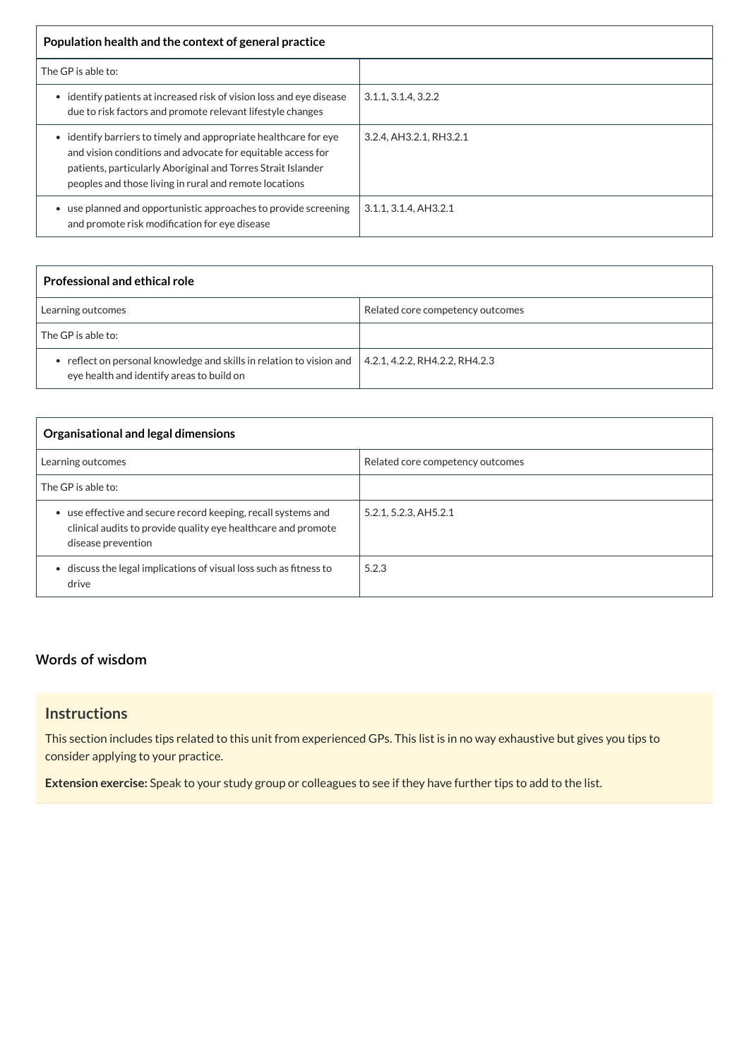| Population health and the context of general practice                                                                                                                                                                                                   |                         |
|---------------------------------------------------------------------------------------------------------------------------------------------------------------------------------------------------------------------------------------------------------|-------------------------|
| The GP is able to:                                                                                                                                                                                                                                      |                         |
| identify patients at increased risk of vision loss and eye disease<br>due to risk factors and promote relevant lifestyle changes                                                                                                                        | 3.1.1, 3.1.4, 3.2.2     |
| identify barriers to timely and appropriate healthcare for eye<br>and vision conditions and advocate for equitable access for<br>patients, particularly Aboriginal and Torres Strait Islander<br>peoples and those living in rural and remote locations | 3.2.4, AH3.2.1, RH3.2.1 |
| use planned and opportunistic approaches to provide screening<br>and promote risk modification for eye disease                                                                                                                                          | 3.1.1, 3.1.4, AH3.2.1   |

| <b>Professional and ethical role</b>                                                                            |                                  |
|-----------------------------------------------------------------------------------------------------------------|----------------------------------|
| Learning outcomes                                                                                               | Related core competency outcomes |
| The GP is able to:                                                                                              |                                  |
| reflect on personal knowledge and skills in relation to vision and<br>eye health and identify areas to build on | 4.2.1, 4.2.2, RH4.2.2, RH4.2.3   |

| <b>Organisational and legal dimensions</b>                                                                                                           |                                  |  |
|------------------------------------------------------------------------------------------------------------------------------------------------------|----------------------------------|--|
| Learning outcomes                                                                                                                                    | Related core competency outcomes |  |
| The GP is able to:                                                                                                                                   |                                  |  |
| • use effective and secure record keeping, recall systems and<br>clinical audits to provide quality eye healthcare and promote<br>disease prevention | 5.2.1, 5.2.3, AH5.2.1            |  |
| • discuss the legal implications of visual loss such as fitness to<br>drive                                                                          | 5.2.3                            |  |

# **[Words of wisdom](javascript:void(0))**

# **Instructions**

This section includes tips related to this unit from experienced GPs. This list is in no way exhaustive but gives you tips to consider applying to your practice.

**Extension exercise:** Speak to your study group or colleagues to see if they have further tips to add to the list.

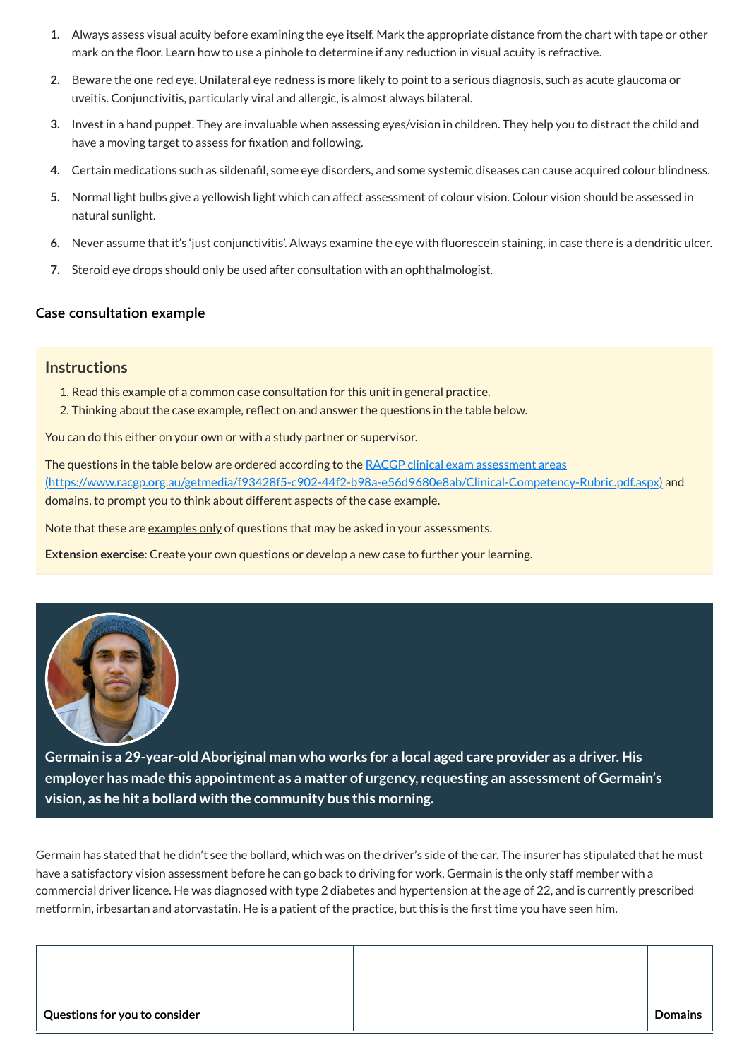- **1.** Always assess visual acuity before examining the eye itself. Mark the appropriate distance from the chart with tape or other mark on the floor. Learn how to use a pinhole to determine if any reduction in visual acuity is refractive.
- **2.** Beware the one red eye. Unilateral eye redness is more likely to point to a serious diagnosis, such as acute glaucoma or uveitis. Conjunctivitis, particularly viral and allergic, is almost always bilateral.
- **3.** Invest in a hand puppet. They are invaluable when assessing eyes/vision in children. They help you to distract the child and have a moving target to assess for fixation and following.
- **4.** Certain medications such as sildenafil, some eye disorders, and some systemic diseases can cause acquired colour blindness.
- **5.** Normal light bulbs give a yellowish light which can affect assessment of colour vision. Colour vision should be assessed in natural sunlight.
- **6.** Never assume that it's 'just conjunctivitis'. Always examine the eye with fluorescein staining, in case there is a dendritic ulcer.
- **7.** Steroid eye drops should only be used after consultation with an ophthalmologist.

The questions in the table below are ordered according to the RACGP clinical exam assessment areas [\(https://www.racgp.org.au/getmedia/f93428f5-c902-44f2-b98a-e56d9680e8ab/Clinical-Competency-Rubric.pdf.aspx\)](https://www.racgp.org.au/getmedia/f93428f5-c902-44f2-b98a-e56d9680e8ab/Clinical-Competency-Rubric.pdf.aspx) and domains, to prompt you to think about different aspects of the case example.

Note that these are examples only of questions that may be asked in your assessments.

# **[Case consultation example](javascript:void(0))**

#### **Instructions**

- 1. Read this example of a common case consultation for this unit in general practice.
- 2. Thinking about the case example, reflect on and answer the questions in the table below.

You can do this either on your own or with a study partner or supervisor.

**Extension exercise**: Create your own questions or develop a new case to further your learning.



**Germain is a 29-year-old Aboriginal man who works for a local aged care provider as a driver. His employer has made this appointment as a matter of urgency, requesting an assessment of Germain's vision, as he hit a bollard with the community bus this morning.**

Germain has stated that he didn't see the bollard, which was on the driver's side of the car. The insurer has stipulated that he must have a satisfactory vision assessment before he can go back to driving for work. Germain is the only staff member with a commercial driver licence. He was diagnosed with type 2 diabetes and hypertension at the age of 22, and is currently prescribed metformin, irbesartan and atorvastatin. He is a patient of the practice, but this is the first time you have seen him.

| Questions for you to consider | <b>Domains</b> |
|-------------------------------|----------------|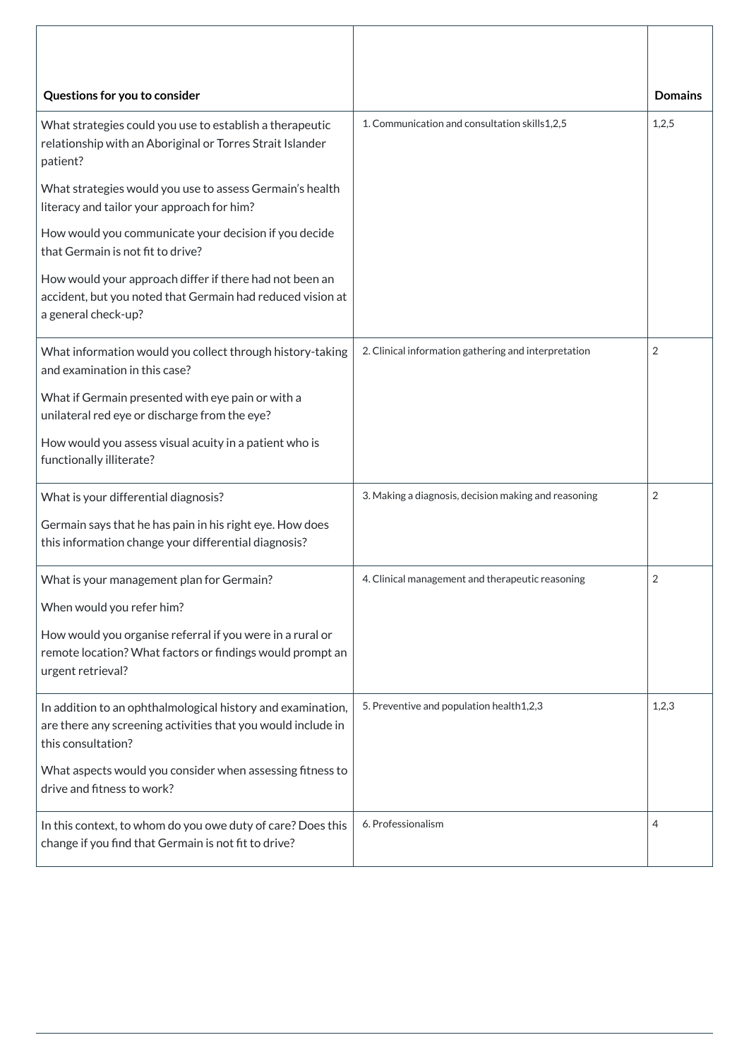| Questions for you to consider                                                                                                                     |                                                      | <b>Domains</b> |
|---------------------------------------------------------------------------------------------------------------------------------------------------|------------------------------------------------------|----------------|
| What strategies could you use to establish a therapeutic<br>relationship with an Aboriginal or Torres Strait Islander<br>patient?                 | 1. Communication and consultation skills 1,2,5       | 1,2,5          |
| What strategies would you use to assess Germain's health<br>literacy and tailor your approach for him?                                            |                                                      |                |
| How would you communicate your decision if you decide<br>that Germain is not fit to drive?                                                        |                                                      |                |
| How would your approach differ if there had not been an<br>accident, but you noted that Germain had reduced vision at<br>a general check-up?      |                                                      |                |
| What information would you collect through history-taking<br>and examination in this case?                                                        | 2. Clinical information gathering and interpretation | $\overline{2}$ |
| What if Germain presented with eye pain or with a<br>unilateral red eye or discharge from the eye?                                                |                                                      |                |
| How would you assess visual acuity in a patient who is<br>functionally illiterate?                                                                |                                                      |                |
| What is your differential diagnosis?                                                                                                              | 3. Making a diagnosis, decision making and reasoning | $\overline{2}$ |
| Germain says that he has pain in his right eye. How does<br>this information change your differential diagnosis?                                  |                                                      |                |
| What is your management plan for Germain?                                                                                                         | 4. Clinical management and therapeutic reasoning     | $\overline{2}$ |
| When would you refer him?                                                                                                                         |                                                      |                |
| How would you organise referral if you were in a rural or<br>remote location? What factors or findings would prompt an<br>urgent retrieval?       |                                                      |                |
| In addition to an ophthalmological history and examination,<br>are there any screening activities that you would include in<br>this consultation? | 5. Preventive and population health1,2,3             | 1,2,3          |
| What aspects would you consider when assessing fitness to<br>drive and fitness to work?                                                           |                                                      |                |

| 6. Professionalism | 4 |
|--------------------|---|
|                    |   |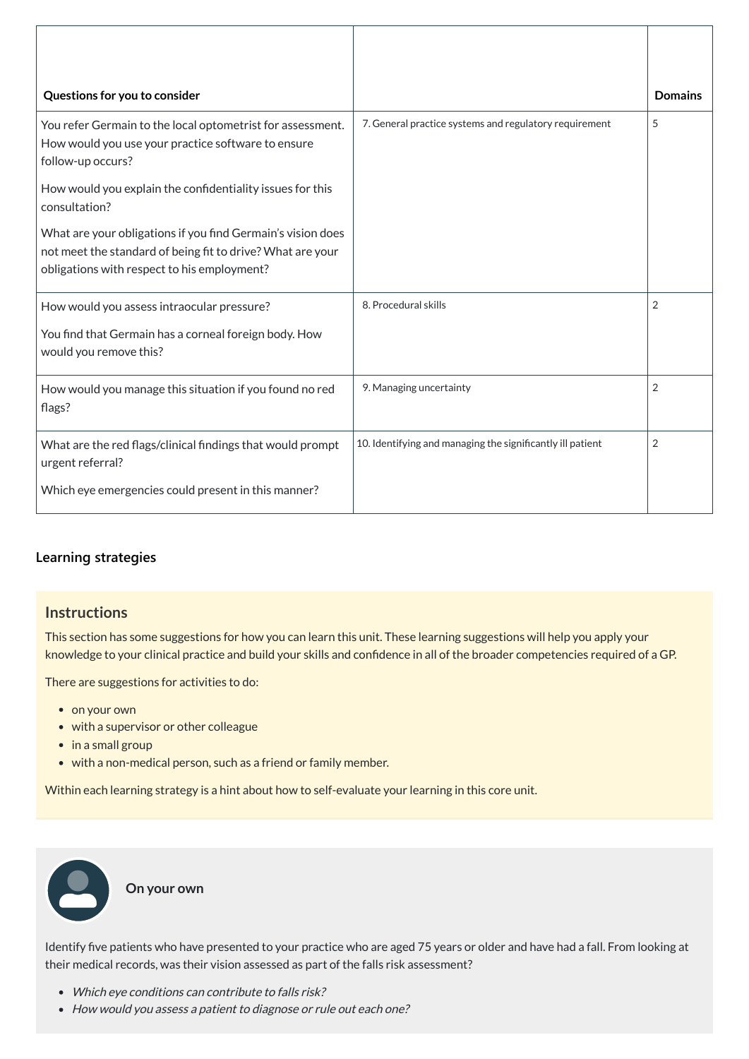| Questions for you to consider                                                                                                                                            |                                                            | <b>Domains</b> |
|--------------------------------------------------------------------------------------------------------------------------------------------------------------------------|------------------------------------------------------------|----------------|
| You refer Germain to the local optometrist for assessment.<br>How would you use your practice software to ensure<br>follow-up occurs?                                    | 7. General practice systems and regulatory requirement     | 5              |
| How would you explain the confidentiality issues for this<br>consultation?                                                                                               |                                                            |                |
| What are your obligations if you find Germain's vision does<br>not meet the standard of being fit to drive? What are your<br>obligations with respect to his employment? |                                                            |                |
| How would you assess intraocular pressure?                                                                                                                               | 8. Procedural skills                                       | $\overline{2}$ |
| You find that Germain has a corneal foreign body. How<br>would you remove this?                                                                                          |                                                            |                |
| How would you manage this situation if you found no red<br>flags?                                                                                                        | 9. Managing uncertainty                                    | $\overline{2}$ |
| What are the red flags/clinical findings that would prompt<br>urgent referral?                                                                                           | 10. Identifying and managing the significantly ill patient | $\overline{2}$ |
| Which eye emergencies could present in this manner?                                                                                                                      |                                                            |                |

- on your own
- with a supervisor or other colleague
- in a small group
- with a non-medical person, such as a friend or family member.

- Which eye conditions can contribute to falls risk?
- How would you assess a patient to diagnose or rule out each one?

# **[Learning strategies](javascript:void(0))**

# **Instructions**

This section has some suggestions for how you can learn this unit. These learning suggestions will help you apply your knowledge to your clinical practice and build your skills and confidence in all of the broader competencies required of a GP.

There are suggestions for activities to do:

Within each learning strategy is a hint about how to self-evaluate your learning in this core unit.

Identify five patients who have presented to your practice who are aged 75 years or older and have had a fall. From looking at their medical records, was their vision assessed as part of the falls risk assessment?

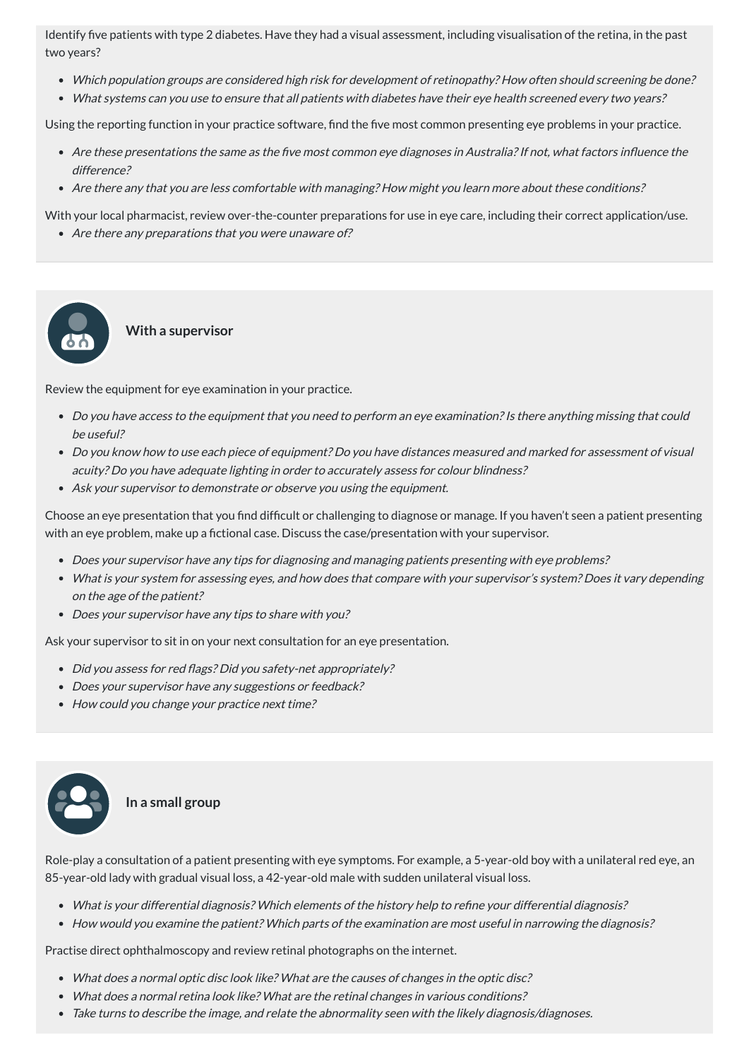Identify five patients with type 2 diabetes. Have they had a visual assessment, including visualisation of the retina, in the past two years?

- Which population groups are considered high risk for development of retinopathy? How often should screening be done?
- What systems can you use to ensure that all patients with diabetes have their eye health screened every two years?

Using the reporting function in your practice software, find the five most common presenting eye problems in your practice.

- Are these presentations the same as the five most common eye diagnoses in Australia?If not, what factors influence the difference?
- Are there any that you are less comfortable with managing? How might you learn more about these conditions?

- Do you have access to the equipment that you need to perform an eye examination? Is there anything missing that could be useful?
- Do you know how to use each piece of equipment? Do you have distances measured and marked for assessment of visual acuity? Do you have adequate lighting in order to accurately assess for colour blindness?
- Ask your supervisor to demonstrate or observe you using the equipment.

With your local pharmacist, review over-the-counter preparations for use in eye care, including their correct application/use.

• Are there any preparations that you were unaware of?

- Does your supervisor have any tips for diagnosing and managing patients presenting with eye problems?
- What is your system for assessing eyes, and how does that compare with your supervisor's system? Does it vary depending on the age of the patient?
- Does your supervisor have any tips to share with you?

# **With a supervisor**

Review the equipment for eye examination in your practice.

- Did you assess for red flags? Did you safety-net appropriately?
- Does your supervisor have any suggestions or feedback?
- How could you change your practice next time?



Choose an eye presentation that you find difficult or challenging to diagnose or manage. If you haven't seen a patient presenting with an eye problem, make up a fictional case. Discuss the case/presentation with your supervisor.

Ask your supervisor to sit in on your next consultation for an eye presentation.



Role-play a consultation of a patient presenting with eye symptoms. For example, a 5-year-old boy with a unilateral red eye, an 85-year-old lady with gradual visual loss, a 42-year-old male with sudden unilateral visual loss.

- What is your differential diagnosis? Which elements of the history help to refine your differential diagnosis?
- How would you examine the patient? Which parts of the examination are most useful in narrowing the diagnosis?

Practise direct ophthalmoscopy and review retinal photographs on the internet.

- What does <sup>a</sup> normal optic disc look like? What are the causes of changes in the optic disc?
- What does <sup>a</sup> normal retina look like? What are the retinal changes in various conditions?
- Take turns to describe the image, and relate the abnormality seen with the likely diagnosis/diagnoses.

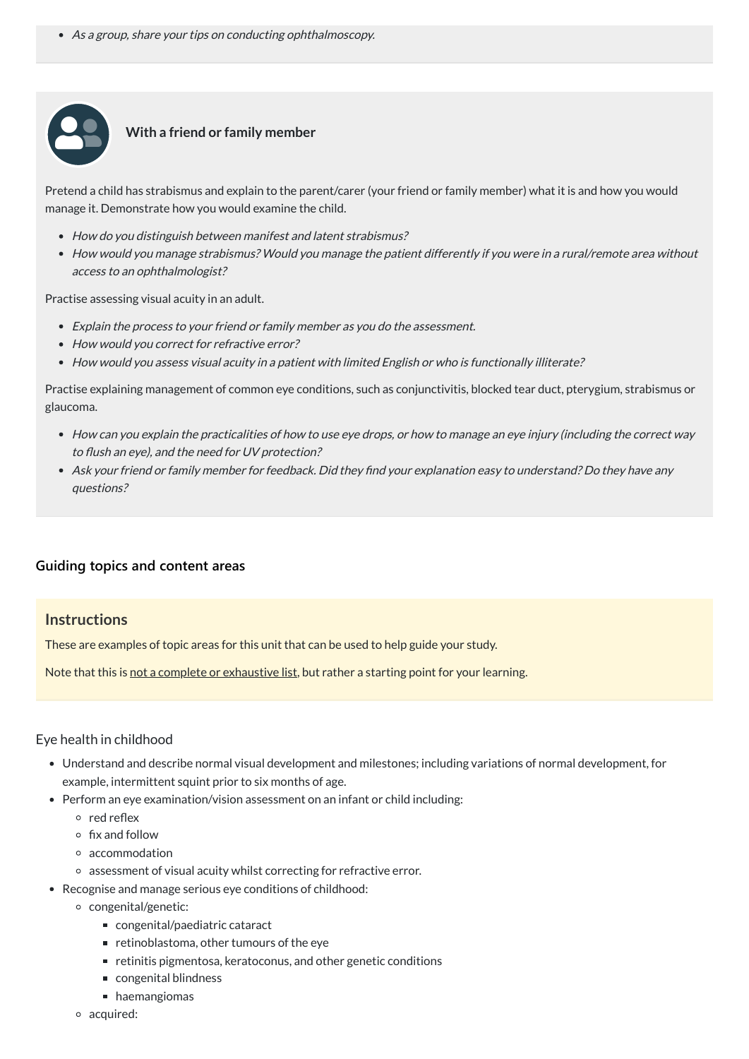As <sup>a</sup> group, share your tips on conducting ophthalmoscopy.



### **With a friend or family member**

Pretend a child has strabismus and explain to the parent/carer (your friend or family member) what it is and how you would manage it. Demonstrate how you would examine the child.

- How do you distinguish between manifest and latent strabismus?
- How would you manage strabismus? Would you manage the patient differently if you were in <sup>a</sup> rural/remote area without access to an ophthalmologist?

Practise assessing visual acuity in an adult.

- Explain the process to your friend or family member as you do the assessment.
- How would you correct for refractive error?
- How would you assess visual acuity in <sup>a</sup> patient with limited English or who is functionally illiterate?

Practise explaining management of common eye conditions, such as conjunctivitis, blocked tear duct, pterygium, strabismus or glaucoma.

- How can you explain the practicalities of how to use eye drops, or how to manage an eye injury (including the correct way to flush an eye), and the need for UV protection?
- Ask your friend or family member for feedback. Did they find your explanation easy to understand? Do they have any questions?

# **[Guiding topics and content areas](javascript:void(0))**

# **Instructions**

These are examples of topic areas for this unit that can be used to help guide your study.

Note that this is not a complete or exhaustive list, but rather a starting point for your learning.

# Eye health in childhood

- Understand and describe normal visual development and milestones; including variations of normal development, for example, intermittent squint prior to six months of age.
- 
- Perform an eye examination/vision assessment on an infant or child including:
	- $\circ$  red reflex
	- $\circ$  fix and follow
	- accommodation
	- assessment of visual acuity whilst correcting for refractive error.
- Recognise and manage serious eye conditions of childhood:
	- congenital/genetic:
		- congenital/paediatric cataract
		- $\blacksquare$  retinoblastoma, other tumours of the eye
		- retinitis pigmentosa, keratoconus, and other genetic conditions
		- congenital blindness
		- **haemangiomas**
	- acquired: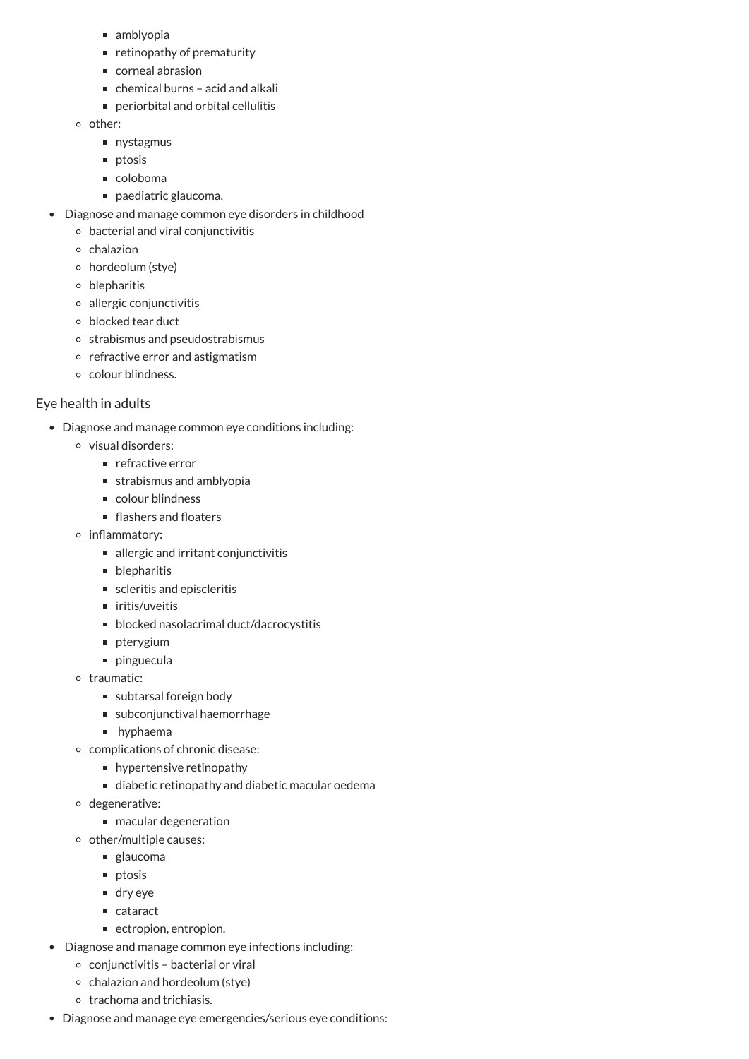- amblyopia
- $\blacksquare$  retinopathy of prematurity
- corneal abrasion
- chemical burns acid and alkali
- periorbital and orbital cellulitis
- o other:
	- nystagmus
	- **n** ptosis
	- coloboma
	- paediatric glaucoma.
- Diagnose and manage common eye disorders in childhood
	- bacterial and viral conjunctivitis
	- $\circ$  chalazion
	- hordeolum (stye)
	- blepharitis
	- allergic conjunctivitis
	- blocked tear duct
	- o strabismus and pseudostrabismus
	- $\circ$  refractive error and astigmatism
	- o colour blindness.

# Eye health in adults

- Diagnose and manage common eye conditions including:
	- visual disorders:
		- **F** refractive error
		- strabismus and amblyopia
		- colour blindness
		- flashers and floaters
	- inflammatory:
		- allergic and irritant conjunctivitis
		- **blepharitis**
		- scleritis and episcleritis
		- $\blacksquare$  iritis/uveitis
		- blocked nasolacrimal duct/dacrocystitis
		- **pterygium**
		- **pinguecula**
	- o traumatic:
		- subtarsal foreign body
		- subconjunctival haemorrhage
		- **hyphaema**
	- complications of chronic disease:
		- **n** hypertensive retinopathy
		- diabetic retinopathy and diabetic macular oedema
		-
	- degenerative:
		- macular degeneration
	- o other/multiple causes:
		- glaucoma
		- **n** ptosis
		- dry eye
		- cataract
		- ectropion, entropion.
- Diagnose and manage common eye infections including:
	- $\circ$  conjunctivitis bacterial or viral
	- $\circ$  chalazion and hordeolum (stye)
	- o trachoma and trichiasis.
- Diagnose and manage eye emergencies/serious eye conditions: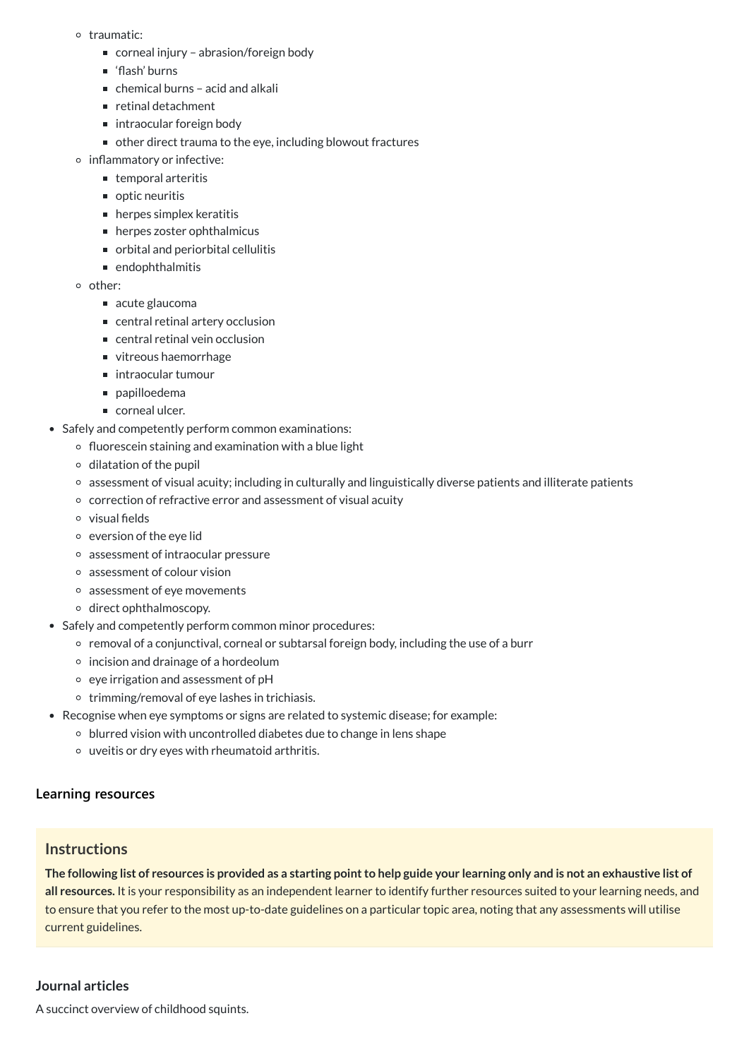#### o traumatic:

- corneal injury abrasion/foreign body
- 'flash' burns
- $\blacksquare$  chemical burns acid and alkali
- $\blacksquare$  retinal detachment
- intraocular foreign body
- other direct trauma to the eye, including blowout fractures
- o inflammatory or infective:
	- $\blacksquare$  temporal arteritis
	- optic neuritis
	- $\blacksquare$  herpes simplex keratitis
	- herpes zoster ophthalmicus
	- orbital and periorbital cellulitis
	- endophthalmitis
- other:
	- acute glaucoma
	- central retinal artery occlusion
	- central retinal vein occlusion
	- vitreous haemorrhage
	- intraocular tumour
	- napilloedema
	- corneal ulcer.
- Safely and competently perform common examinations:
	- $\circ$  fluorescein staining and examination with a blue light
	- $\circ$  dilatation of the pupil
	- assessment of visual acuity; including in culturally and linguistically diverse patients and illiterate patients
	- correction of refractive error and assessment of visual acuity
	- visual fields
	- $\circ$  eversion of the eye lid
	- assessment of intraocular pressure
	- assessment of colour vision
	- assessment of eye movements
	- direct ophthalmoscopy.
- Safely and competently perform common minor procedures:
	- o removal of a conjunctival, corneal or subtarsal foreign body, including the use of a burr
	- $\circ$  incision and drainage of a hordeolum
	- $\circ$  eye irrigation and assessment of pH
	- $\circ$  trimming/removal of eye lashes in trichiasis.
- Recognise when eye symptoms or signs are related to systemic disease; for example:
	- blurred vision with uncontrolled diabetes due to change in lens shape
	- uveitis or dry eyes with rheumatoid arthritis.

The following list of resources is provided as a starting point to help guide your learning only and is not an exhaustive list of **all resources.** It is your responsibility as an independent learner to identify further resources suited to your learning needs, and to ensure that you refer to the most up-to-date guidelines on a particular topic area, noting that any assessments will utilise current guidelines.

# **[Learning resources](javascript:void(0))**

# **Instructions**

#### **Journal articles**

A succinct overview of childhood squints.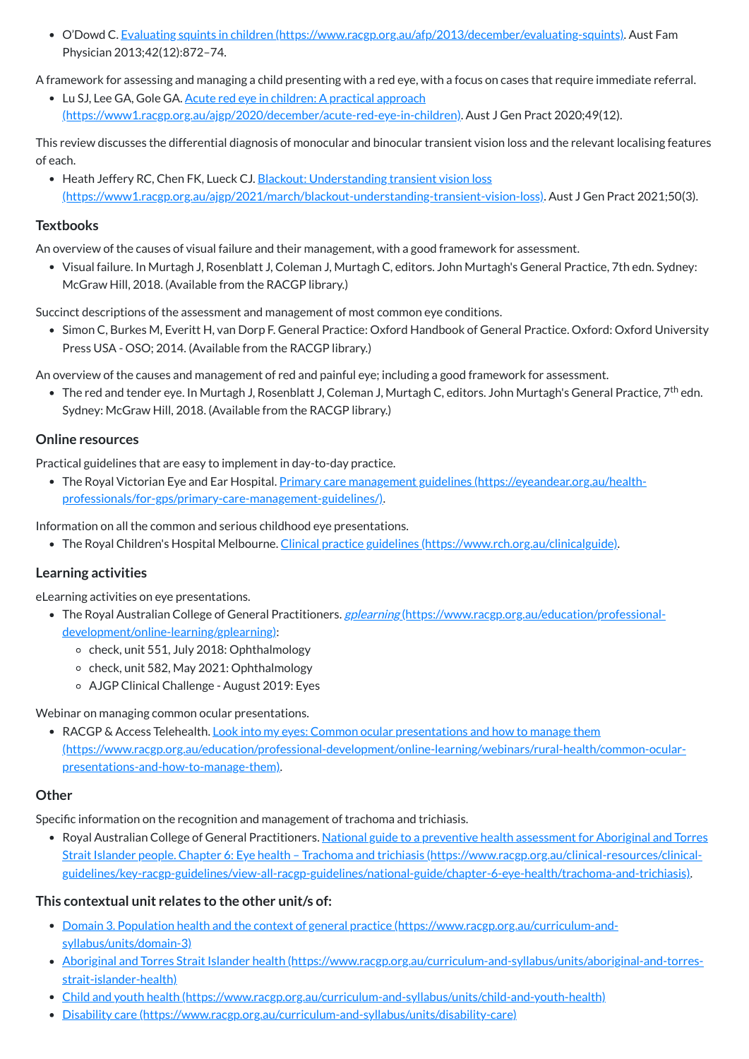O'Dowd C. Evaluating squints in children [\(https://www.racgp.org.au/afp/2013/december/evaluating-squints\)](https://www.racgp.org.au/afp/2013/december/evaluating-squints). Aust Fam Physician 2013;42(12):872–74.

A framework for assessing and managing a child presenting with a red eye, with a focus on cases that require immediate referral.

• Lu SJ, Lee GA, Gole GA. <u>Acute red eye in children: A practical approach</u> [\(https://www1.racgp.org.au/ajgp/2020/december/acute-red-eye-in-children\).](https://www1.racgp.org.au/ajgp/2020/december/acute-red-eye-in-children) Aust J Gen Pract 2020;49(12).

• Heath Jeffery RC, Chen FK, Lueck CJ, Blackout: Understanding transient vision loss [\(https://www1.racgp.org.au/ajgp/2021/march/blackout-understanding-transient-vision-loss\)](https://www1.racgp.org.au/ajgp/2021/march/blackout-understanding-transient-vision-loss). Aust J Gen Pract 2021;50(3).

This review discusses the differential diagnosis of monocular and binocular transient vision loss and the relevant localising features of each.

• Simon C, Burkes M, Everitt H, van Dorp F. General Practice: Oxford Handbook of General Practice. Oxford: Oxford University Press USA - OSO; 2014. (Available from the RACGP library.)

# **Textbooks**

The red and tender eye. In Murtagh J, Rosenblatt J, Coleman J, Murtagh C, editors. John Murtagh's General Practice, 7<sup>th</sup> edn. Sydney: McGraw Hill, 2018. (Available from the RACGP library.)

An overview of the causes of visual failure and their management, with a good framework for assessment.

Visual failure. In Murtagh J, Rosenblatt J, Coleman J, Murtagh C, editors. John Murtagh's General Practice, 7th edn. Sydney: McGraw Hill, 2018. (Available from the RACGP library.)

Succinct descriptions of the assessment and management of most common eye conditions.

- The Royal Australian College of General Practitioners. gplearning [\(https://www.racgp.org.au/education/professional](https://www.racgp.org.au/education/professional-development/online-learning/gplearning)development/online-learning/gplearning):
	- $\circ$  check, unit 551, July 2018: Ophthalmology
	- $\circ$  check, unit 582, May 2021: Ophthalmology
	- AJGP Clinical Challenge August 2019: Eyes

• RACGP & Access Telehealth. Look into my eyes: Common ocular presentations and how to manage them [\(https://www.racgp.org.au/education/professional-development/online-learning/webinars/rural-health/common-ocular](https://www.racgp.org.au/education/professional-development/online-learning/webinars/rural-health/common-ocular-presentations-and-how-to-manage-them)presentations-and-how-to-manage-them).

An overview of the causes and management of red and painful eye; including a good framework for assessment.

• Royal Australian College of General Practitioners. National guide to a preventive health assessment for Aboriginal and Torres Strait Islander people. Chapter 6: Eye health – Trachoma and trichiasis (https://www.racgp.org.au/clinical-resources/clinical[guidelines/key-racgp-guidelines/view-all-racgp-guidelines/national-guide/chapter-6-eye-health/trachoma-and-trichiasis\).](https://www.racgp.org.au/clinical-resources/clinical-guidelines/key-racgp-guidelines/view-all-racgp-guidelines/national-guide/chapter-6-eye-health/trachoma-and-trichiasis)

# **Online resources**

Practical guidelines that are easy to implement in day-to-day practice.

The Royal Victorian Eye and Ear Hospital. Primary care management guidelines (https://eyeandear.org.au/health[professionals/for-gps/primary-care-management-guidelines/\).](https://eyeandear.org.au/health-professionals/for-gps/primary-care-management-guidelines/)

Information on all the common and serious childhood eye presentations.

• The Royal Children's Hospital Melbourne. Clinical practice guidelines [\(https://www.rch.org.au/clinicalguide\)](https://www.rch.org.au/clinicalguide).

# **Learning activities**

eLearning activities on eye presentations.

Webinar on managing common ocular presentations.

Specific information on the recognition and management of trachoma and trichiasis.

# **This contextual unit relates to the other unit/s of:**

- Domain 3. Population health and the context of general practice [\(https://www.racgp.org.au/curriculum-and](https://www.racgp.org.au/curriculum-and-syllabus/units/domain-3)syllabus/units/domain-3)
- Aboriginal and Torres Strait Islander health [\(https://www.racgp.org.au/curriculum-and-syllabus/units/aboriginal-and-torres](https://www.racgp.org.au/curriculum-and-syllabus/units/aboriginal-and-torres-strait-islander-health)strait-islander-health)
- Child and youth health [\(https://www.racgp.org.au/curriculum-and-syllabus/units/child-and-youth-health\)](https://www.racgp.org.au/curriculum-and-syllabus/units/child-and-youth-health)
- Disability care [\(https://www.racgp.org.au/curriculum-and-syllabus/units/disability-care\)](https://www.racgp.org.au/curriculum-and-syllabus/units/disability-care)